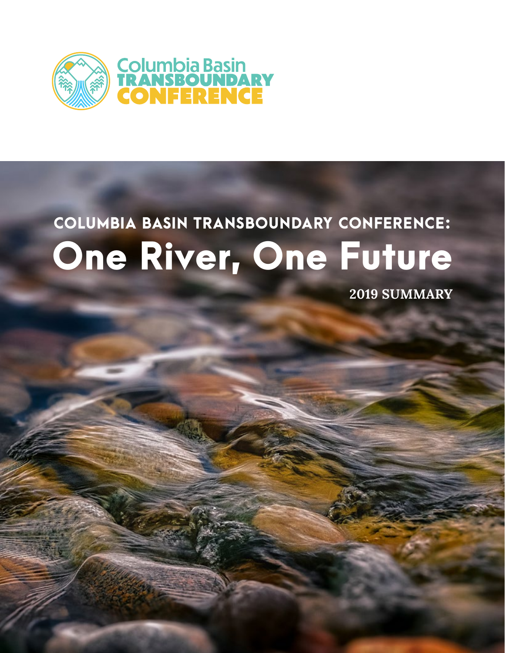

# COLUMBIA BASIN TRANSBOUNDARY CONFERENCE: One River, One Future

**2019 SUMMARY**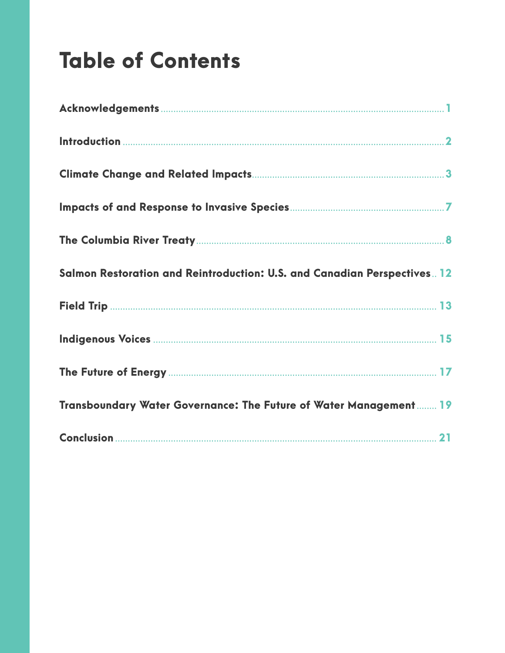## **Table of Contents**

| Salmon Restoration and Reintroduction: U.S. and Canadian Perspectives. 12 |  |
|---------------------------------------------------------------------------|--|
|                                                                           |  |
|                                                                           |  |
|                                                                           |  |
| Transboundary Water Governance: The Future of Water Management  19        |  |
|                                                                           |  |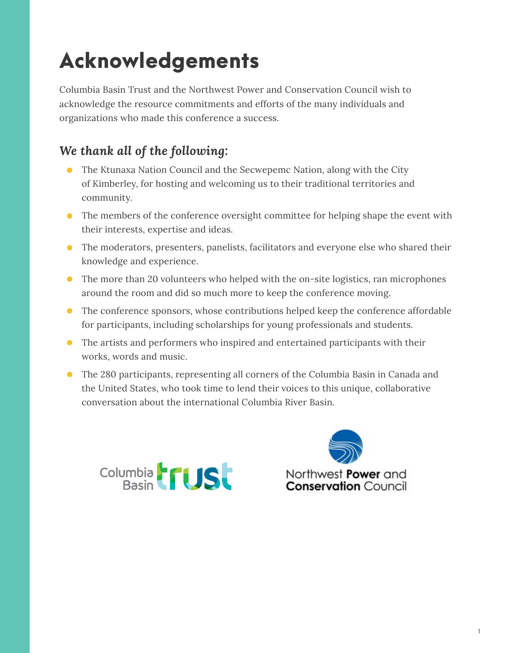## <span id="page-2-0"></span>Acknowledgements

Columbia Basin Trust and the Northwest Power and Conservation Council wish to acknowledge the resource commitments and efforts of the many individuals and organizations who made this conference a success.

#### *We thank all of the following:*

- The Ktunaxa Nation Council and the Secwepemc Nation, along with the City of Kimberley, for hosting and welcoming us to their traditional territories and community.
- The members of the conference oversight committee for helping shape the event with their interests, expertise and ideas.
- The moderators, presenters, panelists, facilitators and everyone else who shared their knowledge and experience.
- The more than 20 volunteers who helped with the on-site logistics, ran microphones around the room and did so much more to keep the conference moving.
- The conference sponsors, whose contributions helped keep the conference affordable for participants, including scholarships for young professionals and students.
- The artists and performers who inspired and entertained participants with their works, words and music.
- The 280 participants, representing all corners of the Columbia Basin in Canada and the United States, who took time to lend their voices to this unique, collaborative conversation about the international Columbia River Basin.



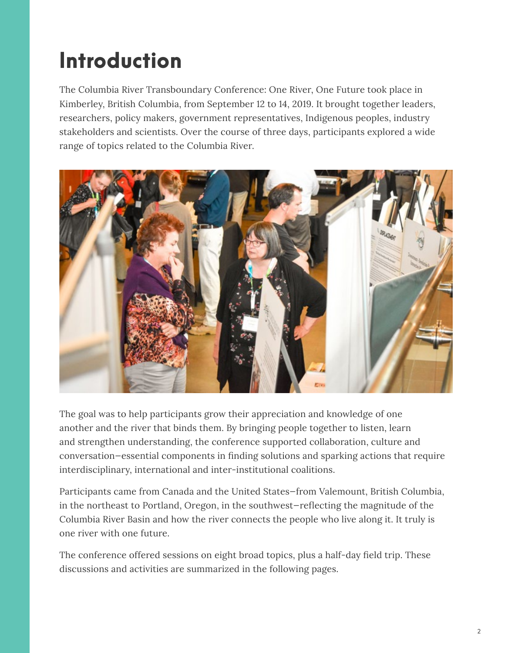## <span id="page-3-0"></span>Introduction

The Columbia River Transboundary Conference: One River, One Future took place in Kimberley, British Columbia, from September 12 to 14, 2019. It brought together leaders, researchers, policy makers, government representatives, Indigenous peoples, industry stakeholders and scientists. Over the course of three days, participants explored a wide range of topics related to the Columbia River.



The goal was to help participants grow their appreciation and knowledge of one another and the river that binds them. By bringing people together to listen, learn and strengthen understanding, the conference supported collaboration, culture and conversation—essential components in finding solutions and sparking actions that require interdisciplinary, international and inter-institutional coalitions.

Participants came from Canada and the United States—from Valemount, British Columbia, in the northeast to Portland, Oregon, in the southwest—reflecting the magnitude of the Columbia River Basin and how the river connects the people who live along it. It truly is one river with one future.

The conference offered sessions on eight broad topics, plus a half-day field trip. These discussions and activities are summarized in the following pages.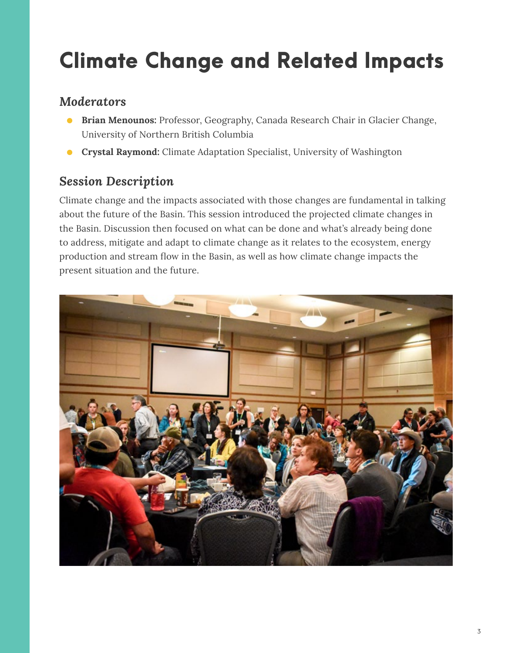## <span id="page-4-0"></span>Climate Change and Related Impacts

#### *Moderators*

- **Brian Menounos:** Professor, Geography, Canada Research Chair in Glacier Change, University of Northern British Columbia
- **Crystal Raymond:** Climate Adaptation Specialist, University of Washington

#### *Session Description*

Climate change and the impacts associated with those changes are fundamental in talking about the future of the Basin. This session introduced the projected climate changes in the Basin. Discussion then focused on what can be done and what's already being done to address, mitigate and adapt to climate change as it relates to the ecosystem, energy production and stream flow in the Basin, as well as how climate change impacts the present situation and the future.

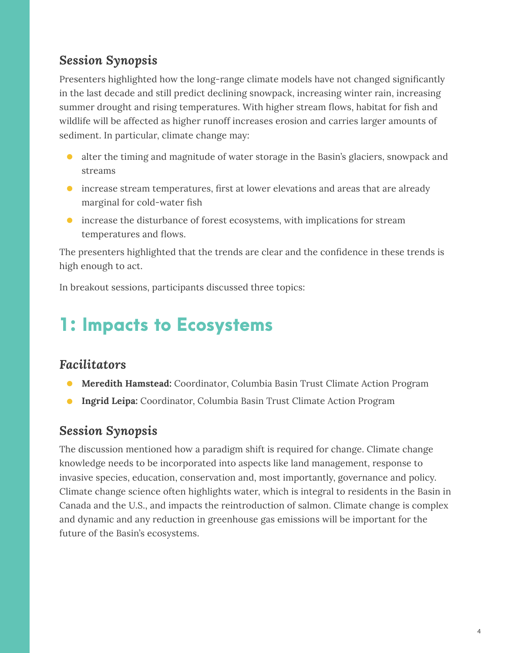#### *Session Synopsis*

Presenters highlighted how the long-range climate models have not changed significantly in the last decade and still predict declining snowpack, increasing winter rain, increasing summer drought and rising temperatures. With higher stream flows, habitat for fish and wildlife will be affected as higher runoff increases erosion and carries larger amounts of sediment. In particular, climate change may:

- alter the timing and magnitude of water storage in the Basin's glaciers, snowpack and streams
- increase stream temperatures, first at lower elevations and areas that are already marginal for cold-water fish
- increase the disturbance of forest ecosystems, with implications for stream temperatures and flows.

The presenters highlighted that the trends are clear and the confidence in these trends is high enough to act.

In breakout sessions, participants discussed three topics:

### 1: Impacts to Ecosystems

#### *Facilitators*

- **Meredith Hamstead:** Coordinator, Columbia Basin Trust Climate Action Program
- **Ingrid Leipa:** Coordinator, Columbia Basin Trust Climate Action Program

#### *Session Synopsis*

The discussion mentioned how a paradigm shift is required for change. Climate change knowledge needs to be incorporated into aspects like land management, response to invasive species, education, conservation and, most importantly, governance and policy. Climate change science often highlights water, which is integral to residents in the Basin in Canada and the U.S., and impacts the reintroduction of salmon. Climate change is complex and dynamic and any reduction in greenhouse gas emissions will be important for the future of the Basin's ecosystems.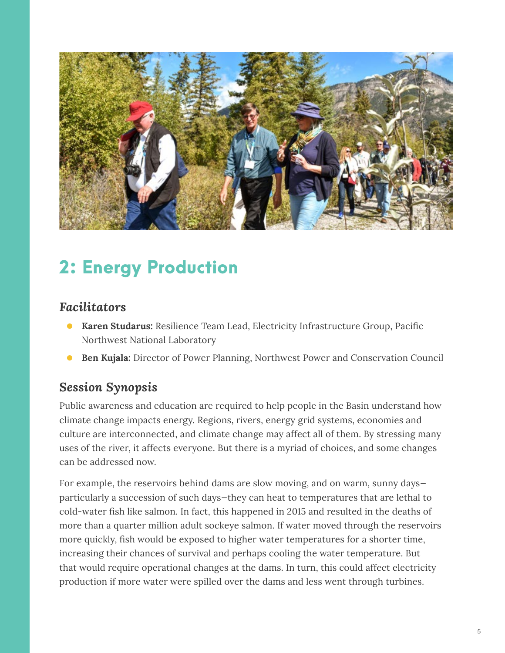

## 2: Energy Production

#### *Facilitators*

- **Karen Studarus:** Resilience Team Lead, Electricity Infrastructure Group, Pacific Northwest National Laboratory
- **Ben Kujala:** Director of Power Planning, Northwest Power and Conservation Council

#### *Session Synopsis*

Public awareness and education are required to help people in the Basin understand how climate change impacts energy. Regions, rivers, energy grid systems, economies and culture are interconnected, and climate change may affect all of them. By stressing many uses of the river, it affects everyone. But there is a myriad of choices, and some changes can be addressed now.

For example, the reservoirs behind dams are slow moving, and on warm, sunny days particularly a succession of such days—they can heat to temperatures that are lethal to cold-water fish like salmon. In fact, this happened in 2015 and resulted in the deaths of more than a quarter million adult sockeye salmon. If water moved through the reservoirs more quickly, fish would be exposed to higher water temperatures for a shorter time, increasing their chances of survival and perhaps cooling the water temperature. But that would require operational changes at the dams. In turn, this could affect electricity production if more water were spilled over the dams and less went through turbines.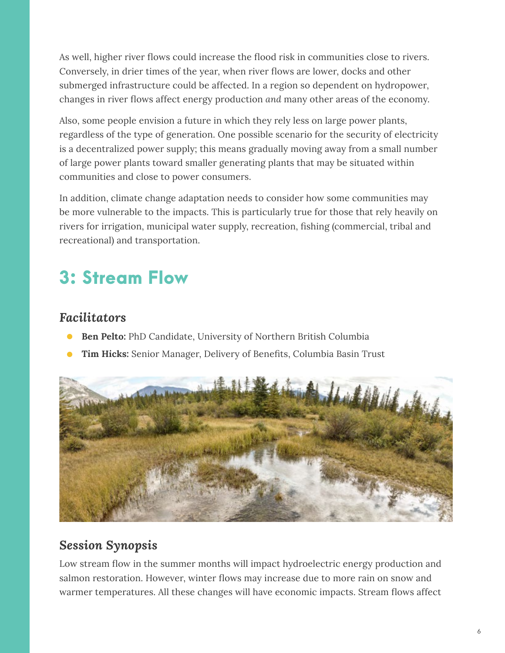As well, higher river flows could increase the flood risk in communities close to rivers. Conversely, in drier times of the year, when river flows are lower, docks and other submerged infrastructure could be affected. In a region so dependent on hydropower, changes in river flows affect energy production *and* many other areas of the economy.

Also, some people envision a future in which they rely less on large power plants, regardless of the type of generation. One possible scenario for the security of electricity is a decentralized power supply; this means gradually moving away from a small number of large power plants toward smaller generating plants that may be situated within communities and close to power consumers.

In addition, climate change adaptation needs to consider how some communities may be more vulnerable to the impacts. This is particularly true for those that rely heavily on rivers for irrigation, municipal water supply, recreation, fishing (commercial, tribal and recreational) and transportation.

### 3: Stream Flow

#### *Facilitators*

- **Ben Pelto:** PhD Candidate, University of Northern British Columbia
- **Tim Hicks:** Senior Manager, Delivery of Benefits, Columbia Basin Trust



#### *Session Synopsis*

Low stream flow in the summer months will impact hydroelectric energy production and salmon restoration. However, winter flows may increase due to more rain on snow and warmer temperatures. All these changes will have economic impacts. Stream flows affect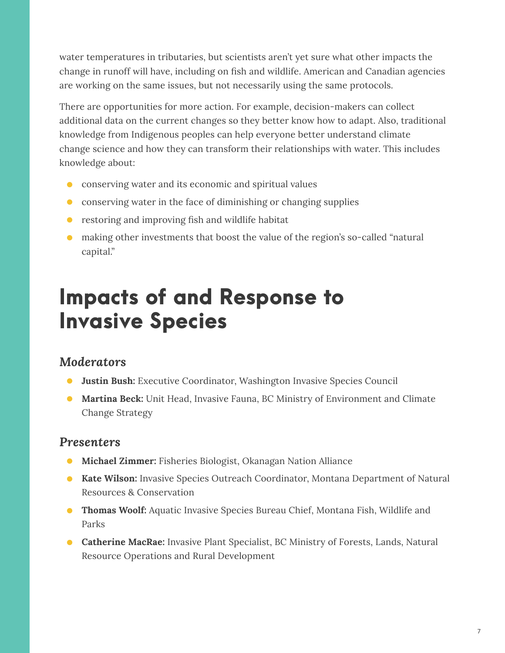water temperatures in tributaries, but scientists aren't yet sure what other impacts the change in runoff will have, including on fish and wildlife. American and Canadian agencies are working on the same issues, but not necessarily using the same protocols.

There are opportunities for more action. For example, decision-makers can collect additional data on the current changes so they better know how to adapt. Also, traditional knowledge from Indigenous peoples can help everyone better understand climate change science and how they can transform their relationships with water. This includes knowledge about:

- conserving water and its economic and spiritual values
- conserving water in the face of diminishing or changing supplies
- restoring and improving fish and wildlife habitat
- making other investments that boost the value of the region's so-called "natural capital."

## <span id="page-8-0"></span>Impacts of and Response to Invasive Species

#### *Moderators*

- **Justin Bush:** Executive Coordinator, Washington Invasive Species Council
- **Martina Beck:** Unit Head, Invasive Fauna, BC Ministry of Environment and Climate Change Strategy

#### *Presenters*

- **Michael Zimmer:** Fisheries Biologist, Okanagan Nation Alliance
- **Kate Wilson:** Invasive Species Outreach Coordinator, Montana Department of Natural Resources & Conservation
- **Thomas Woolf:** Aquatic Invasive Species Bureau Chief, Montana Fish, Wildlife and Parks
- **Catherine MacRae:** Invasive Plant Specialist, BC Ministry of Forests, Lands, Natural Resource Operations and Rural Development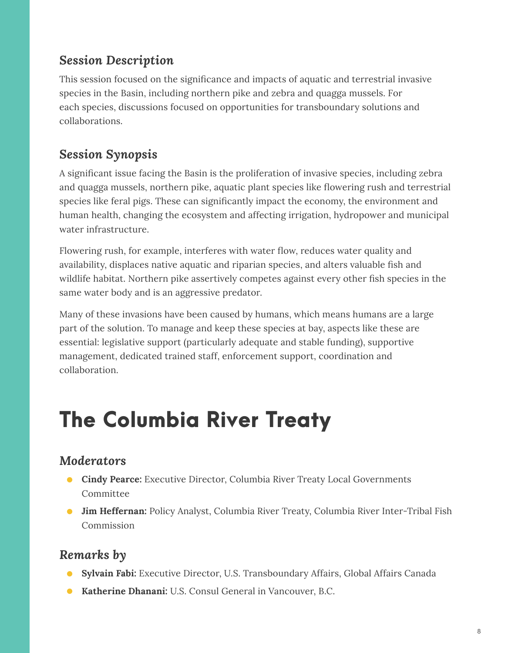#### *Session Description*

This session focused on the significance and impacts of aquatic and terrestrial invasive species in the Basin, including northern pike and zebra and quagga mussels. For each species, discussions focused on opportunities for transboundary solutions and collaborations.

#### *Session Synopsis*

A significant issue facing the Basin is the proliferation of invasive species, including zebra and quagga mussels, northern pike, aquatic plant species like flowering rush and terrestrial species like feral pigs. These can significantly impact the economy, the environment and human health, changing the ecosystem and affecting irrigation, hydropower and municipal water infrastructure.

Flowering rush, for example, interferes with water flow, reduces water quality and availability, displaces native aquatic and riparian species, and alters valuable fish and wildlife habitat. Northern pike assertively competes against every other fish species in the same water body and is an aggressive predator.

Many of these invasions have been caused by humans, which means humans are a large part of the solution. To manage and keep these species at bay, aspects like these are essential: legislative support (particularly adequate and stable funding), supportive management, dedicated trained staff, enforcement support, coordination and collaboration.

## <span id="page-9-0"></span>The Columbia River Treaty

#### *Moderators*

- **Cindy Pearce:** Executive Director, Columbia River Treaty Local Governments Committee
- **Jim Heffernan:** Policy Analyst, Columbia River Treaty, Columbia River Inter-Tribal Fish Commission

#### *Remarks by*

- **Sylvain Fabi:** Executive Director, U.S. Transboundary Affairs, Global Affairs Canada
- **Katherine Dhanani:** U.S. Consul General in Vancouver, B.C.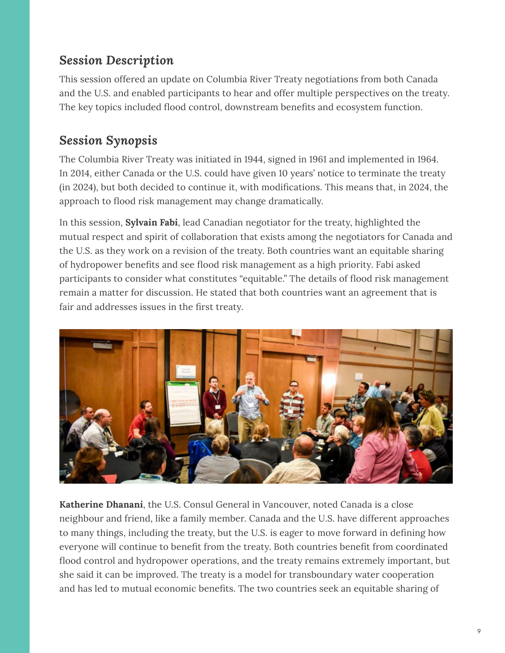#### *Session Description*

This session offered an update on Columbia River Treaty negotiations from both Canada and the U.S. and enabled participants to hear and offer multiple perspectives on the treaty. The key topics included flood control, downstream benefits and ecosystem function.

#### *Session Synopsis*

The Columbia River Treaty was initiated in 1944, signed in 1961 and implemented in 1964. In 2014, either Canada or the U.S. could have given 10 years' notice to terminate the treaty (in 2024), but both decided to continue it, with modifications. This means that, in 2024, the approach to flood risk management may change dramatically.

In this session, **Sylvain Fabi**, lead Canadian negotiator for the treaty, highlighted the mutual respect and spirit of collaboration that exists among the negotiators for Canada and the U.S. as they work on a revision of the treaty. Both countries want an equitable sharing of hydropower benefits and see flood risk management as a high priority. Fabi asked participants to consider what constitutes "equitable." The details of flood risk management remain a matter for discussion. He stated that both countries want an agreement that is fair and addresses issues in the first treaty.



**Katherine Dhanani**, the U.S. Consul General in Vancouver, noted Canada is a close neighbour and friend, like a family member. Canada and the U.S. have different approaches to many things, including the treaty, but the U.S. is eager to move forward in defining how everyone will continue to benefit from the treaty. Both countries benefit from coordinated flood control and hydropower operations, and the treaty remains extremely important, but she said it can be improved. The treaty is a model for transboundary water cooperation and has led to mutual economic benefits. The two countries seek an equitable sharing of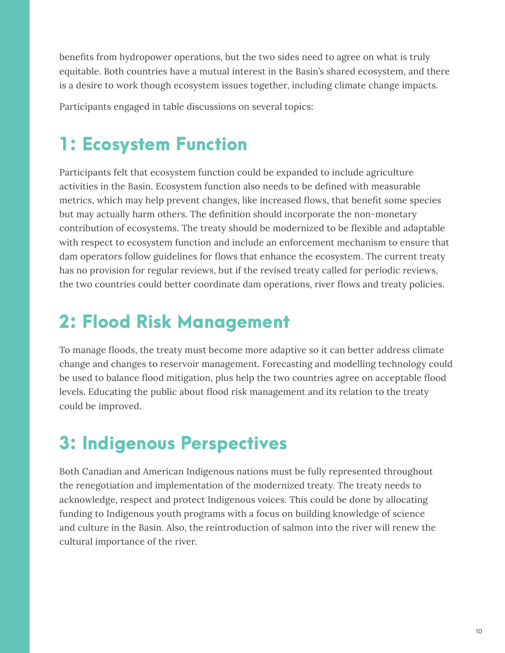benefits from hydropower operations, but the two sides need to agree on what is truly equitable. Both countries have a mutual interest in the Basin's shared ecosystem, and there is a desire to work though ecosystem issues together, including climate change impacts.

Participants engaged in table discussions on several topics:

### 1: Ecosystem Function

Participants felt that ecosystem function could be expanded to include agriculture activities in the Basin. Ecosystem function also needs to be defined with measurable metrics, which may help prevent changes, like increased flows, that benefit some species but may actually harm others. The definition should incorporate the non-monetary contribution of ecosystems. The treaty should be modernized to be flexible and adaptable with respect to ecosystem function and include an enforcement mechanism to ensure that dam operators follow guidelines for flows that enhance the ecosystem. The current treaty has no provision for regular reviews, but if the revised treaty called for periodic reviews, the two countries could better coordinate dam operations, river flows and treaty policies.

### 2: Flood Risk Management

To manage floods, the treaty must become more adaptive so it can better address climate change and changes to reservoir management. Forecasting and modelling technology could be used to balance flood mitigation, plus help the two countries agree on acceptable flood levels. Educating the public about flood risk management and its relation to the treaty could be improved.

## 3: Indigenous Perspectives

Both Canadian and American Indigenous nations must be fully represented throughout the renegotiation and implementation of the modernized treaty. The treaty needs to acknowledge, respect and protect Indigenous voices. This could be done by allocating funding to Indigenous youth programs with a focus on building knowledge of science and culture in the Basin. Also, the reintroduction of salmon into the river will renew the cultural importance of the river.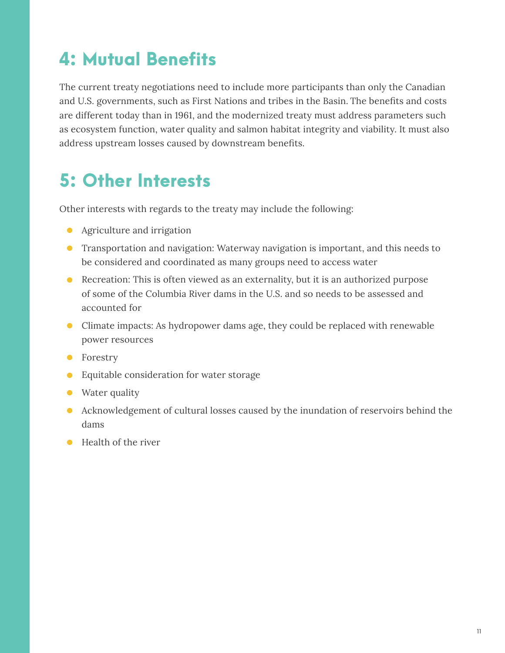### 4: Mutual Benefits

The current treaty negotiations need to include more participants than only the Canadian and U.S. governments, such as First Nations and tribes in the Basin. The benefits and costs are different today than in 1961, and the modernized treaty must address parameters such as ecosystem function, water quality and salmon habitat integrity and viability. It must also address upstream losses caused by downstream benefits.

### 5: Other Interests

Other interests with regards to the treaty may include the following:

- Agriculture and irrigation
- Transportation and navigation: Waterway navigation is important, and this needs to be considered and coordinated as many groups need to access water
- Recreation: This is often viewed as an externality, but it is an authorized purpose of some of the Columbia River dams in the U.S. and so needs to be assessed and accounted for
- Climate impacts: As hydropower dams age, they could be replaced with renewable power resources
- Forestry
- Equitable consideration for water storage
- Water quality
- Acknowledgement of cultural losses caused by the inundation of reservoirs behind the dams
- Health of the river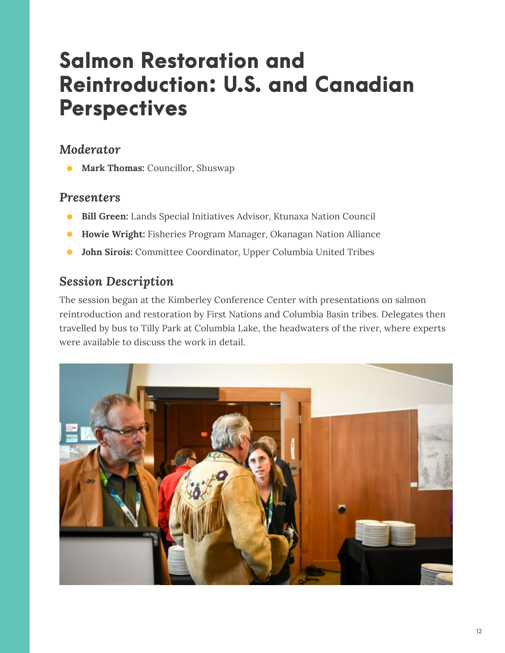## <span id="page-13-0"></span>Salmon Restoration and Reintroduction: U.S. and Canadian **Perspectives**

#### *Moderator*

● **Mark Thomas:** Councillor, Shuswap

#### *Presenters*

- **Bill Green:** Lands Special Initiatives Advisor, Ktunaxa Nation Council
- **Howie Wright:** Fisheries Program Manager, Okanagan Nation Alliance
- **John Sirois:** Committee Coordinator, Upper Columbia United Tribes

#### *Session Description*

The session began at the Kimberley Conference Center with presentations on salmon reintroduction and restoration by First Nations and Columbia Basin tribes. Delegates then travelled by bus to Tilly Park at Columbia Lake, the headwaters of the river, where experts were available to discuss the work in detail.

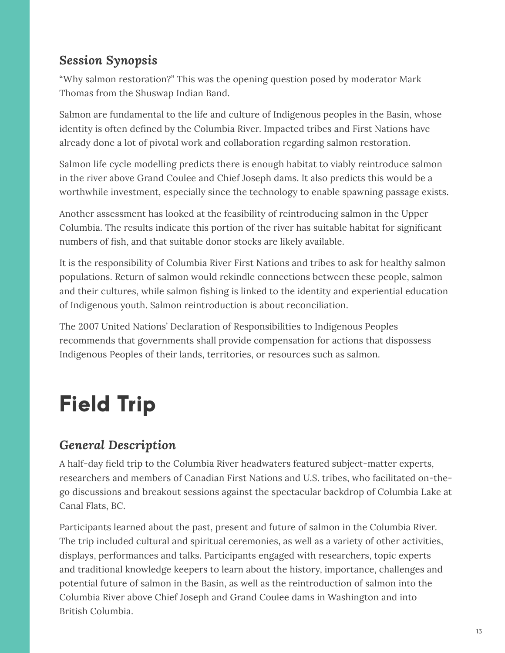#### *Session Synopsis*

"Why salmon restoration?" This was the opening question posed by moderator Mark Thomas from the Shuswap Indian Band.

Salmon are fundamental to the life and culture of Indigenous peoples in the Basin, whose identity is often defined by the Columbia River. Impacted tribes and First Nations have already done a lot of pivotal work and collaboration regarding salmon restoration.

Salmon life cycle modelling predicts there is enough habitat to viably reintroduce salmon in the river above Grand Coulee and Chief Joseph dams. It also predicts this would be a worthwhile investment, especially since the technology to enable spawning passage exists.

Another assessment has looked at the feasibility of reintroducing salmon in the Upper Columbia. The results indicate this portion of the river has suitable habitat for significant numbers of fish, and that suitable donor stocks are likely available.

It is the responsibility of Columbia River First Nations and tribes to ask for healthy salmon populations. Return of salmon would rekindle connections between these people, salmon and their cultures, while salmon fishing is linked to the identity and experiential education of Indigenous youth. Salmon reintroduction is about reconciliation.

The 2007 United Nations' Declaration of Responsibilities to Indigenous Peoples recommends that governments shall provide compensation for actions that dispossess Indigenous Peoples of their lands, territories, or resources such as salmon.

## <span id="page-14-0"></span>Field Trip

#### *General Description*

A half-day field trip to the Columbia River headwaters featured subject-matter experts, researchers and members of Canadian First Nations and U.S. tribes, who facilitated on-thego discussions and breakout sessions against the spectacular backdrop of Columbia Lake at Canal Flats, BC.

Participants learned about the past, present and future of salmon in the Columbia River. The trip included cultural and spiritual ceremonies, as well as a variety of other activities, displays, performances and talks. Participants engaged with researchers, topic experts and traditional knowledge keepers to learn about the history, importance, challenges and potential future of salmon in the Basin, as well as the reintroduction of salmon into the Columbia River above Chief Joseph and Grand Coulee dams in Washington and into British Columbia.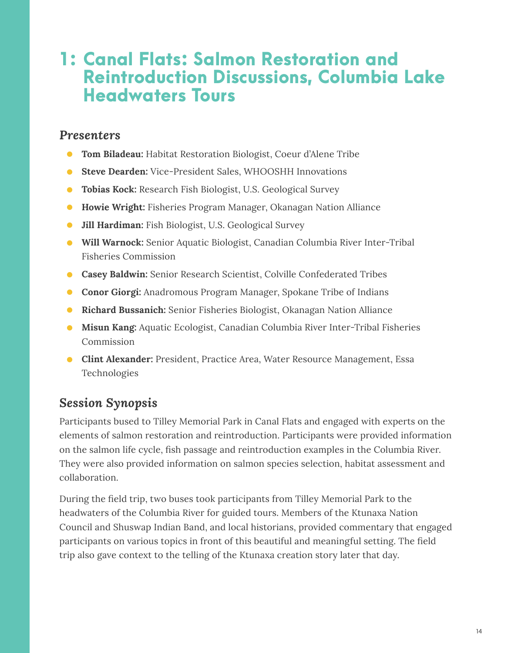#### 1: Canal Flats: Salmon Restoration and Reintroduction Discussions, Columbia Lake Headwaters Tours

#### *Presenters*

- **Tom Biladeau:** Habitat Restoration Biologist, Coeur d'Alene Tribe
- **Steve Dearden:** Vice-President Sales, WHOOSHH Innovations
- **Tobias Kock:** Research Fish Biologist, U.S. Geological Survey
- **Howie Wright:** Fisheries Program Manager, Okanagan Nation Alliance
- **Jill Hardiman:** Fish Biologist, U.S. Geological Survey
- **Will Warnock:** Senior Aquatic Biologist, Canadian Columbia River Inter-Tribal Fisheries Commission
- **Casey Baldwin:** Senior Research Scientist, Colville Confederated Tribes
- **Conor Giorgi:** Anadromous Program Manager, Spokane Tribe of Indians
- **Richard Bussanich:** Senior Fisheries Biologist, Okanagan Nation Alliance
- **Misun Kang:** Aquatic Ecologist, Canadian Columbia River Inter-Tribal Fisheries Commission
- **Clint Alexander:** President, Practice Area, Water Resource Management, Essa Technologies

#### *Session Synopsis*

Participants bused to Tilley Memorial Park in Canal Flats and engaged with experts on the elements of salmon restoration and reintroduction. Participants were provided information on the salmon life cycle, fish passage and reintroduction examples in the Columbia River. They were also provided information on salmon species selection, habitat assessment and collaboration.

During the field trip, two buses took participants from Tilley Memorial Park to the headwaters of the Columbia River for guided tours. Members of the Ktunaxa Nation Council and Shuswap Indian Band, and local historians, provided commentary that engaged participants on various topics in front of this beautiful and meaningful setting. The field trip also gave context to the telling of the Ktunaxa creation story later that day.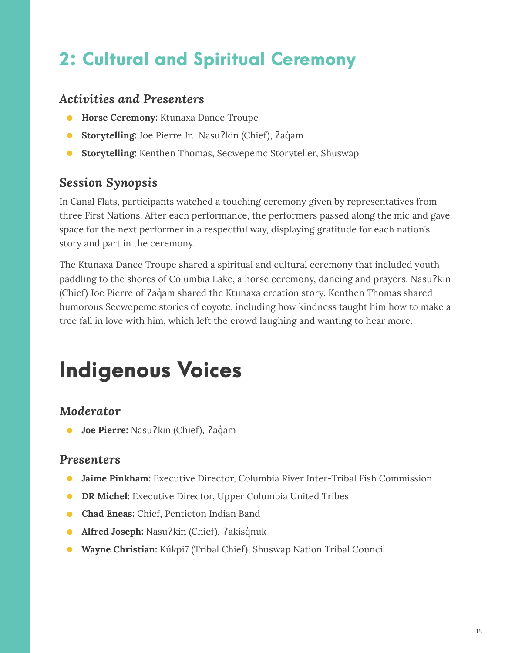### 2: Cultural and Spiritual Ceremony

#### *Activities and Presenters*

- **Horse Ceremony:** Ktunaxa Dance Troupe
- **Storytelling:** Joe Pierre Jr., Nasuʔkin (Chief), ʔaq̓am
- **Storytelling:** Kenthen Thomas, Secwepemc Storyteller, Shuswap

#### *Session Synopsis*

In Canal Flats, participants watched a touching ceremony given by representatives from three First Nations. After each performance, the performers passed along the mic and gave space for the next performer in a respectful way, displaying gratitude for each nation's story and part in the ceremony.

The Ktunaxa Dance Troupe shared a spiritual and cultural ceremony that included youth paddling to the shores of Columbia Lake, a horse ceremony, dancing and prayers. Nasuʔkin (Chief) Joe Pierre of ʔaq̓am shared the Ktunaxa creation story. Kenthen Thomas shared humorous Secwepemc stories of coyote, including how kindness taught him how to make a tree fall in love with him, which left the crowd laughing and wanting to hear more.

## <span id="page-16-0"></span>Indigenous Voices

#### *Moderator*

● **Joe Pierre:** Nasuʔkin (Chief), ʔaq̓am

#### *Presenters*

- **Jaime Pinkham:** Executive Director, Columbia River Inter-Tribal Fish Commission
- **DR Michel:** Executive Director, Upper Columbia United Tribes
- **Chad Eneas:** Chief, Penticton Indian Band
- **Alfred Joseph:** Nasu?kin (Chief), ?akisqnuk
- **Wayne Christian:** Kúkpi7 (Tribal Chief), Shuswap Nation Tribal Council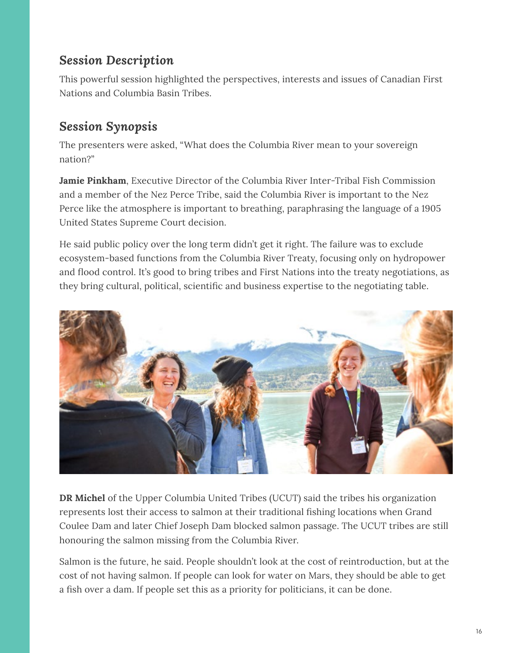#### *Session Description*

This powerful session highlighted the perspectives, interests and issues of Canadian First Nations and Columbia Basin Tribes.

#### *Session Synopsis*

The presenters were asked, "What does the Columbia River mean to your sovereign nation?"

**Jamie Pinkham**, Executive Director of the Columbia River Inter-Tribal Fish Commission and a member of the Nez Perce Tribe, said the Columbia River is important to the Nez Perce like the atmosphere is important to breathing, paraphrasing the language of a 1905 United States Supreme Court decision.

He said public policy over the long term didn't get it right. The failure was to exclude ecosystem-based functions from the Columbia River Treaty, focusing only on hydropower and flood control. It's good to bring tribes and First Nations into the treaty negotiations, as they bring cultural, political, scientific and business expertise to the negotiating table.



**DR Michel** of the Upper Columbia United Tribes (UCUT) said the tribes his organization represents lost their access to salmon at their traditional fishing locations when Grand Coulee Dam and later Chief Joseph Dam blocked salmon passage. The UCUT tribes are still honouring the salmon missing from the Columbia River.

Salmon is the future, he said. People shouldn't look at the cost of reintroduction, but at the cost of not having salmon. If people can look for water on Mars, they should be able to get a fish over a dam. If people set this as a priority for politicians, it can be done.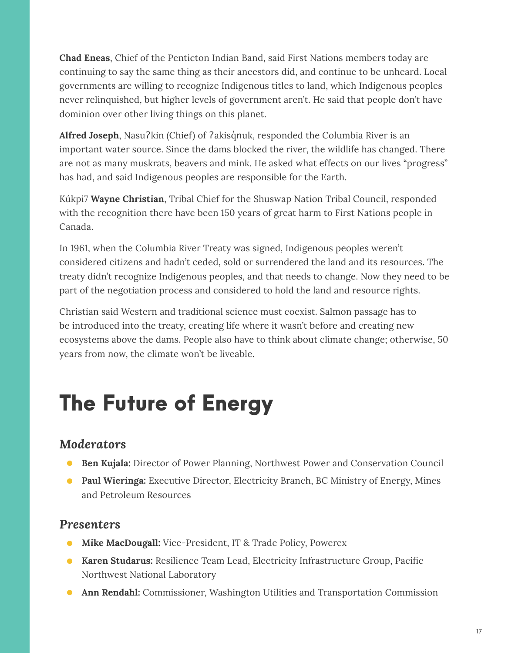**Chad Eneas**, Chief of the Penticton Indian Band, said First Nations members today are continuing to say the same thing as their ancestors did, and continue to be unheard. Local governments are willing to recognize Indigenous titles to land, which Indigenous peoples never relinquished, but higher levels of government aren't. He said that people don't have dominion over other living things on this planet.

Alfred Joseph, Nasu?kin (Chief) of ?akisqnuk, responded the Columbia River is an important water source. Since the dams blocked the river, the wildlife has changed. There are not as many muskrats, beavers and mink. He asked what effects on our lives "progress" has had, and said Indigenous peoples are responsible for the Earth.

Kúkpi7 **Wayne Christian**, Tribal Chief for the Shuswap Nation Tribal Council, responded with the recognition there have been 150 years of great harm to First Nations people in Canada.

In 1961, when the Columbia River Treaty was signed, Indigenous peoples weren't considered citizens and hadn't ceded, sold or surrendered the land and its resources. The treaty didn't recognize Indigenous peoples, and that needs to change. Now they need to be part of the negotiation process and considered to hold the land and resource rights.

Christian said Western and traditional science must coexist. Salmon passage has to be introduced into the treaty, creating life where it wasn't before and creating new ecosystems above the dams. People also have to think about climate change; otherwise, 50 years from now, the climate won't be liveable.

## <span id="page-18-0"></span>The Future of Energy

#### *Moderators*

- **Ben Kujala:** Director of Power Planning, Northwest Power and Conservation Council
- Paul Wieringa: Executive Director, Electricity Branch, BC Ministry of Energy, Mines and Petroleum Resources

#### *Presenters*

- **Mike MacDougall:** Vice-President, IT & Trade Policy, Powerex
- **Karen Studarus:** Resilience Team Lead, Electricity Infrastructure Group, Pacific Northwest National Laboratory
- **Ann Rendahl:** Commissioner, Washington Utilities and Transportation Commission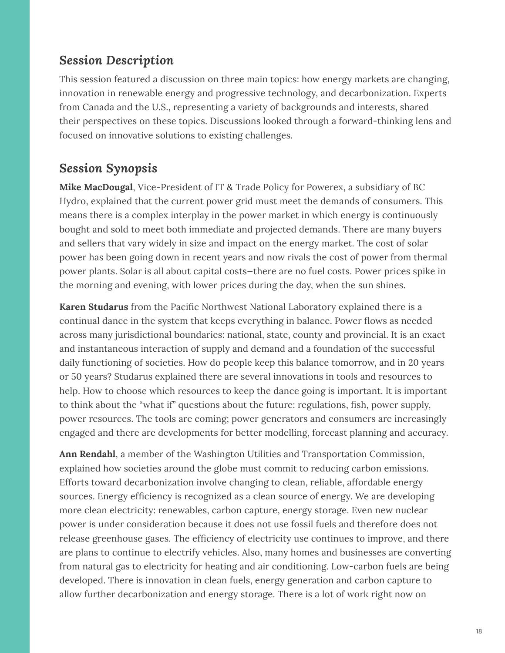#### *Session Description*

This session featured a discussion on three main topics: how energy markets are changing, innovation in renewable energy and progressive technology, and decarbonization. Experts from Canada and the U.S., representing a variety of backgrounds and interests, shared their perspectives on these topics. Discussions looked through a forward-thinking lens and focused on innovative solutions to existing challenges.

#### *Session Synopsis*

**Mike MacDougal**, Vice-President of IT & Trade Policy for Powerex, a subsidiary of BC Hydro, explained that the current power grid must meet the demands of consumers. This means there is a complex interplay in the power market in which energy is continuously bought and sold to meet both immediate and projected demands. There are many buyers and sellers that vary widely in size and impact on the energy market. The cost of solar power has been going down in recent years and now rivals the cost of power from thermal power plants. Solar is all about capital costs—there are no fuel costs. Power prices spike in the morning and evening, with lower prices during the day, when the sun shines.

**Karen Studarus** from the Pacific Northwest National Laboratory explained there is a continual dance in the system that keeps everything in balance. Power flows as needed across many jurisdictional boundaries: national, state, county and provincial. It is an exact and instantaneous interaction of supply and demand and a foundation of the successful daily functioning of societies. How do people keep this balance tomorrow, and in 20 years or 50 years? Studarus explained there are several innovations in tools and resources to help. How to choose which resources to keep the dance going is important. It is important to think about the "what if" questions about the future: regulations, fish, power supply, power resources. The tools are coming; power generators and consumers are increasingly engaged and there are developments for better modelling, forecast planning and accuracy.

**Ann Rendahl**, a member of the Washington Utilities and Transportation Commission, explained how societies around the globe must commit to reducing carbon emissions. Efforts toward decarbonization involve changing to clean, reliable, affordable energy sources. Energy efficiency is recognized as a clean source of energy. We are developing more clean electricity: renewables, carbon capture, energy storage. Even new nuclear power is under consideration because it does not use fossil fuels and therefore does not release greenhouse gases. The efficiency of electricity use continues to improve, and there are plans to continue to electrify vehicles. Also, many homes and businesses are converting from natural gas to electricity for heating and air conditioning. Low-carbon fuels are being developed. There is innovation in clean fuels, energy generation and carbon capture to allow further decarbonization and energy storage. There is a lot of work right now on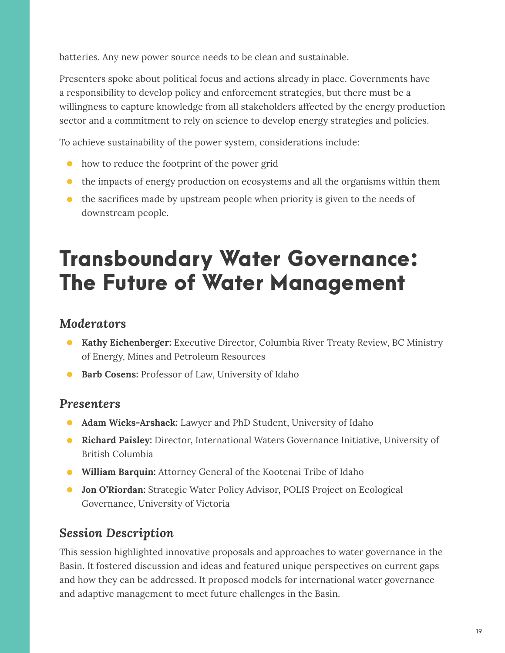batteries. Any new power source needs to be clean and sustainable.

Presenters spoke about political focus and actions already in place. Governments have a responsibility to develop policy and enforcement strategies, but there must be a willingness to capture knowledge from all stakeholders affected by the energy production sector and a commitment to rely on science to develop energy strategies and policies.

To achieve sustainability of the power system, considerations include:

- how to reduce the footprint of the power grid
- the impacts of energy production on ecosystems and all the organisms within them
- the sacrifices made by upstream people when priority is given to the needs of downstream people.

## <span id="page-20-0"></span>Transboundary Water Governance: The Future of Water Management

#### *Moderators*

- **Kathy Eichenberger:** Executive Director, Columbia River Treaty Review, BC Ministry of Energy, Mines and Petroleum Resources
- **Barb Cosens: Professor of Law, University of Idaho**

#### *Presenters*

- Adam Wicks-Arshack: Lawyer and PhD Student, University of Idaho
- **Richard Paisley:** Director, International Waters Governance Initiative, University of British Columbia
- **William Barquin:** Attorney General of the Kootenai Tribe of Idaho
- **Jon O'Riordan:** Strategic Water Policy Advisor, POLIS Project on Ecological Governance, University of Victoria

#### *Session Description*

This session highlighted innovative proposals and approaches to water governance in the Basin. It fostered discussion and ideas and featured unique perspectives on current gaps and how they can be addressed. It proposed models for international water governance and adaptive management to meet future challenges in the Basin.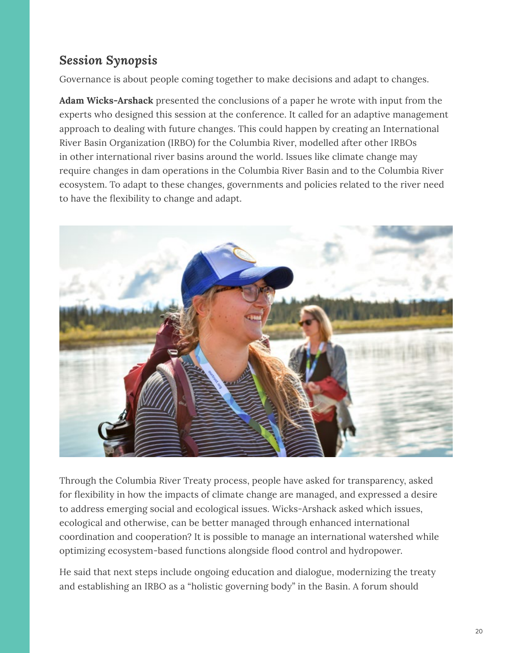#### *Session Synopsis*

Governance is about people coming together to make decisions and adapt to changes.

**Adam Wicks-Arshack** presented the conclusions of a paper he wrote with input from the experts who designed this session at the conference. It called for an adaptive management approach to dealing with future changes. This could happen by creating an International River Basin Organization (IRBO) for the Columbia River, modelled after other IRBOs in other international river basins around the world. Issues like climate change may require changes in dam operations in the Columbia River Basin and to the Columbia River ecosystem. To adapt to these changes, governments and policies related to the river need to have the flexibility to change and adapt.



Through the Columbia River Treaty process, people have asked for transparency, asked for flexibility in how the impacts of climate change are managed, and expressed a desire to address emerging social and ecological issues. Wicks-Arshack asked which issues, ecological and otherwise, can be better managed through enhanced international coordination and cooperation? It is possible to manage an international watershed while optimizing ecosystem-based functions alongside flood control and hydropower.

He said that next steps include ongoing education and dialogue, modernizing the treaty and establishing an IRBO as a "holistic governing body" in the Basin. A forum should